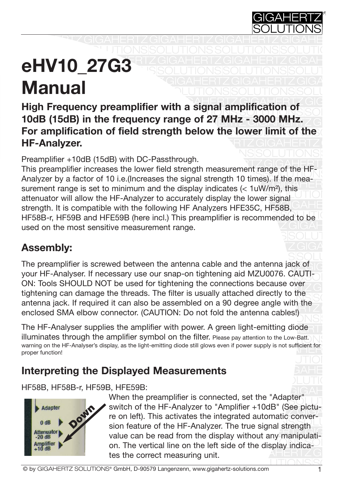

#### **DIGARIZ** SI UU IS GILVIA<sup>'</sup> eHV10\_27G3  $I$ ranuar **N Manual**

High Frequency preamplifier with a signal amplification of Solution (A Fall) in the frequency report of 07 MILL 0000 MILL For amplification of field strength below the lower limit of the 10dB (15dB) in the frequency range of 27 MHz - 3000 MHz.  $\mathbb{S}$ HF-Analyzer. **High Frequency preamplifier with a signal amplification of**

Broamplifier : 10dB (15dB) with DC Beesthrow Preamplifier +10dB (15dB) with DC-Passthrough.

Preamplifier + roub (roub) with DC-Passtiffough.<br>This preamplifier increases the lower field strength measurement range of the HF-This preamplifier increases the lower field strength ineasurement range of the rin-<br>Analyzer by a factor of 10 i.e.(Increases the signal strength 10 times). If the mea-Analyzer by a factor of to i.e. (increases the signal strength to times). It the filed-<br>surement range is set to minimum and the display indicates (< 1uW/m<sup>2</sup>), this  $\frac{1}{\sqrt{10}}$  attenuator will allow the HF-Analyzer to accurately display the lower signal strength. It is compatible with the following HF Analyzers HFE35C, HF58B, AHE HF58B-r, HF59B and HFE59B (here incl.) This preamplifier is recommended to be used on the most sensitive measurement range. SOLUTIONS CONTINUES

# Assembly:

solutions in the contract of the solutions of the SSOLU The preamplifier is screwed between the antenna cable and the antenna jack of your HF-Analyser. If necessary use our snap-on tightening aid MZU0076. CAUTI-ON-<br>ONLITeala SHOULD NOT be used for tightening the connections because such ON: Tools SHOULD NOT be used for tightening the connections because over<br>tightening ean demage the throads. The filter is usually attached directly to the ugniening can damage the threads. The litter is usually attached directly to the<br>antenna jack. If required it can also be assembled on a 90 degree angle with the  $\frac{1}{10}$  and the antenna cables  $\frac{1}{10}$ SOLUTIONS Shot fold the drive an also be assemi<br>http://CALITION:-D  $S(0, 0)$ on. Il requireu it o<br>SMA elbow conne SIVIA SIDOW SOLITO tightening can damage the threads. The filter is usually attached directly to the enclosed SMA elbow connector. (CAUTION: Do not fold the antenna cables!)

The HF-Analyser supplies the amplifier with power. A green light-emitting diode illuminates through the amplifier symbol on the filter. Please pay attention to the Low-Batt.  $\sum$ warning on the HF-Analyser's display, as the light-emitting diode still glows even if power supply is not sufficient for<br>proper function! SOLUTION SUPER proper function!

# **Interpreting the Displayed Measurements**

SOLUTTONS HF58B, HF58B-r, HF59B, HFE59B:<br>When the pro



 $G$ vinen the preamplifier is connected, set the Adapter<br>Solution of the HF-Analyzer to "Amplifier +10dB" (See pictuswitch of the HP-Analyzer to Amplifier + roup (see pictu-<br>re on left). This activates the integrated automatic conver-The on Terry. This activates the integrated adtomatic conver-<br>sion feature of the HF-Analyzer. The true signal strength sion reature or the rin randy zon. The true signal strength on. The vertical line on the left side of the display indica- $S_{\mathcal{L}}$ **GIGGERTZ** Fig. The correct measuring unit. When the preamplifier is connected, set the "Adapter"